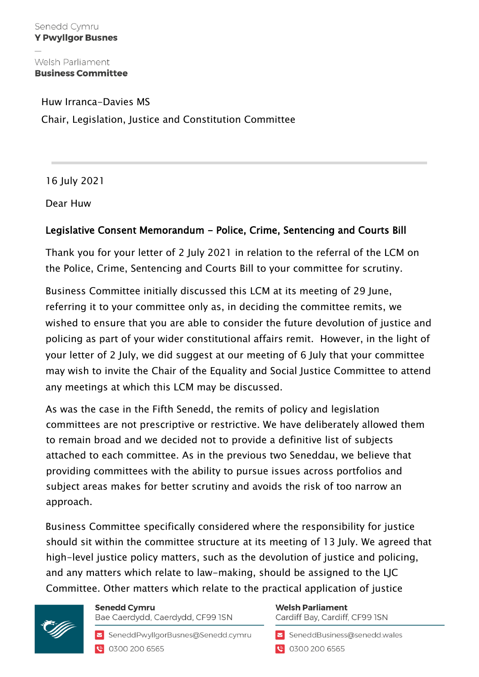Welsh Parliament **Business Committee** 

Huw Irranca-Davies MS Chair, Legislation, Justice and Constitution Committee

16 July 2021

Dear Huw

## Legislative Consent Memorandum - Police, Crime, Sentencing and Courts Bill

Thank you for your letter of 2 July 2021 in relation to the referral of the LCM on the Police, Crime, Sentencing and Courts Bill to your committee for scrutiny.

Business Committee initially discussed this LCM at its meeting of 29 June, referring it to your committee only as, in deciding the committee remits, we wished to ensure that you are able to consider the future devolution of justice and policing as part of your wider constitutional affairs remit. However, in the light of your letter of 2 July, we did suggest at our meeting of 6 July that your committee may wish to invite the Chair of the Equality and Social Justice Committee to attend any meetings at which this LCM may be discussed.

As was the case in the Fifth Senedd, the remits of policy and legislation committees are not prescriptive or restrictive. We have deliberately allowed them to remain broad and we decided not to provide a definitive list of subjects attached to each committee. As in the previous two Seneddau, we believe that providing committees with the ability to pursue issues across portfolios and subject areas makes for better scrutiny and avoids the risk of too narrow an approach.

Business Committee specifically considered where the responsibility for justice should sit within the committee structure at its meeting of 13 July. We agreed that high-level justice policy matters, such as the devolution of justice and policing, and any matters which relate to law-making, should be assigned to the LJC Committee. Other matters which relate to the practical application of justice



**Senedd Cymru** Bae Caerdydd, Caerdydd, CF99 ISN

SeneddPwyllgorBusnes@Senedd.cymru ● 0300 200 6565

**Welsh Parliament** Cardiff Bay, Cardiff, CF99 ISN

SeneddBusiness@senedd.wales ● 0300 200 6565